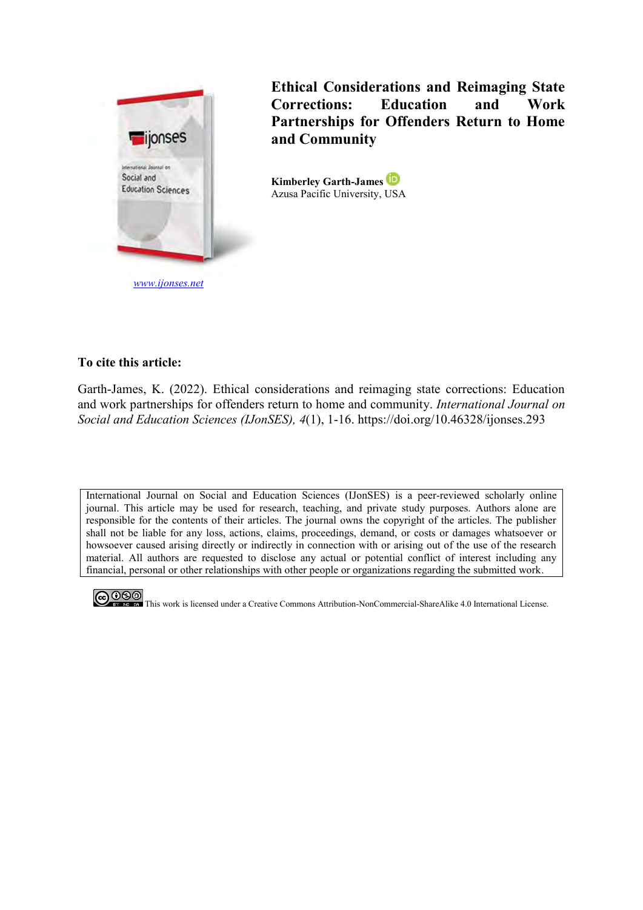

**Ethical Considerations and Reimaging State Corrections: Education and Work Partnerships for Offenders Return to Home and Community**

**Kimberley Garth-James**  Azusa Pacific University, USA

# **To cite this article:**

Garth-James, K. (2022). Ethical considerations and reimaging state corrections: Education and work partnerships for offenders return to home and community. *International Journal on Social and Education Sciences (IJonSES), 4*(1), 1-16. https://doi.org/10.46328/ijonses.293

International Journal on Social and Education Sciences (IJonSES) is a peer-reviewed scholarly online journal. This article may be used for research, teaching, and private study purposes. Authors alone are responsible for the contents of their articles. The journal owns the copyright of the articles. The publisher shall not be liable for any loss, actions, claims, proceedings, demand, or costs or damages whatsoever or howsoever caused arising directly or indirectly in connection with or arising out of the use of the research material. All authors are requested to disclose any actual or potential conflict of interest including any financial, personal or other relationships with other people or organizations regarding the submitted work.



COOO This work is licensed under a Creative Commons Attribution-NonCommercial-ShareAlike 4.0 International License.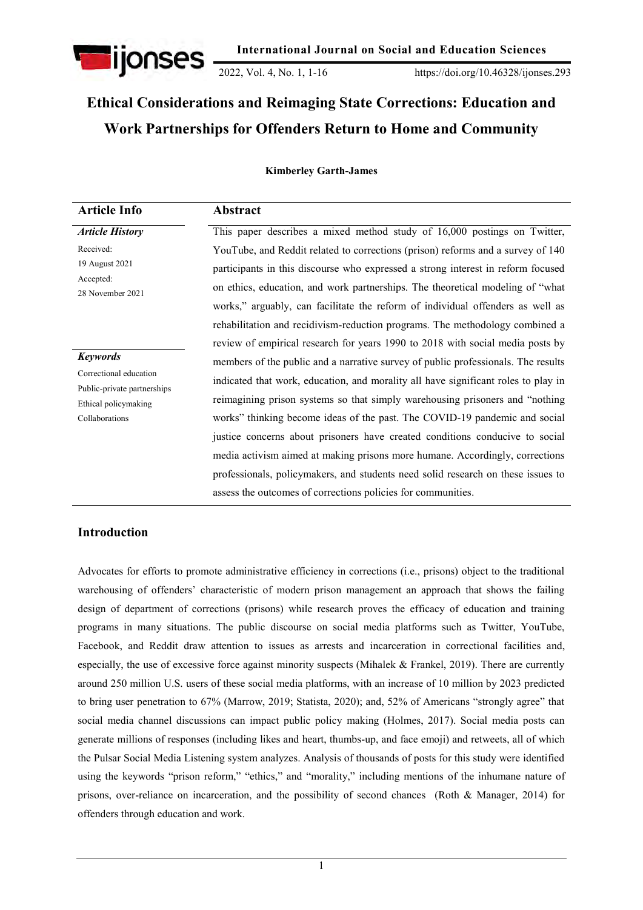

2022, Vol. 4, No. 1, 1-16 https://doi.org/10.46328/ijonses.293

# **Ethical Considerations and Reimaging State Corrections: Education and Work Partnerships for Offenders Return to Home and Community**

### **Kimberley Garth-James**

| <b>Article Info</b>                                 | Abstract                                                                           |
|-----------------------------------------------------|------------------------------------------------------------------------------------|
| <b>Article History</b>                              | This paper describes a mixed method study of 16,000 postings on Twitter,           |
| Received:                                           | YouTube, and Reddit related to corrections (prison) reforms and a survey of 140    |
| 19 August 2021                                      | participants in this discourse who expressed a strong interest in reform focused   |
| Accepted:<br>28 November 2021                       | on ethics, education, and work partnerships. The theoretical modeling of "what     |
|                                                     | works," arguably, can facilitate the reform of individual offenders as well as     |
|                                                     | rehabilitation and recidivism-reduction programs. The methodology combined a       |
|                                                     | review of empirical research for years 1990 to 2018 with social media posts by     |
| <b>Keywords</b>                                     | members of the public and a narrative survey of public professionals. The results  |
| Correctional education                              | indicated that work, education, and morality all have significant roles to play in |
| Public-private partnerships<br>Ethical policymaking | reimagining prison systems so that simply warehousing prisoners and "nothing       |
| Collaborations                                      | works" thinking become ideas of the past. The COVID-19 pandemic and social         |
|                                                     | justice concerns about prisoners have created conditions conducive to social       |
|                                                     | media activism aimed at making prisons more humane. Accordingly, corrections       |
|                                                     | professionals, policymakers, and students need solid research on these issues to   |
|                                                     | assess the outcomes of corrections policies for communities.                       |

# **Introduction**

Advocates for efforts to promote administrative efficiency in corrections (i.e., prisons) object to the traditional warehousing of offenders' characteristic of modern prison management an approach that shows the failing design of department of corrections (prisons) while research proves the efficacy of education and training programs in many situations. The public discourse on social media platforms such as Twitter, YouTube, Facebook, and Reddit draw attention to issues as arrests and incarceration in correctional facilities and, especially, the use of excessive force against minority suspects (Mihalek & Frankel, 2019). There are currently around 250 million U.S. users of these social media platforms, with an increase of 10 million by 2023 predicted to bring user penetration to 67% (Marrow, 2019; Statista, 2020); and, 52% of Americans "strongly agree" that social media channel discussions can impact public policy making (Holmes, 2017). Social media posts can generate millions of responses (including likes and heart, thumbs-up, and face emoji) and retweets, all of which the Pulsar Social Media Listening system analyzes. Analysis of thousands of posts for this study were identified using the keywords "prison reform," "ethics," and "morality," including mentions of the inhumane nature of prisons, over-reliance on incarceration, and the possibility of second chances (Roth & Manager, 2014) for offenders through education and work.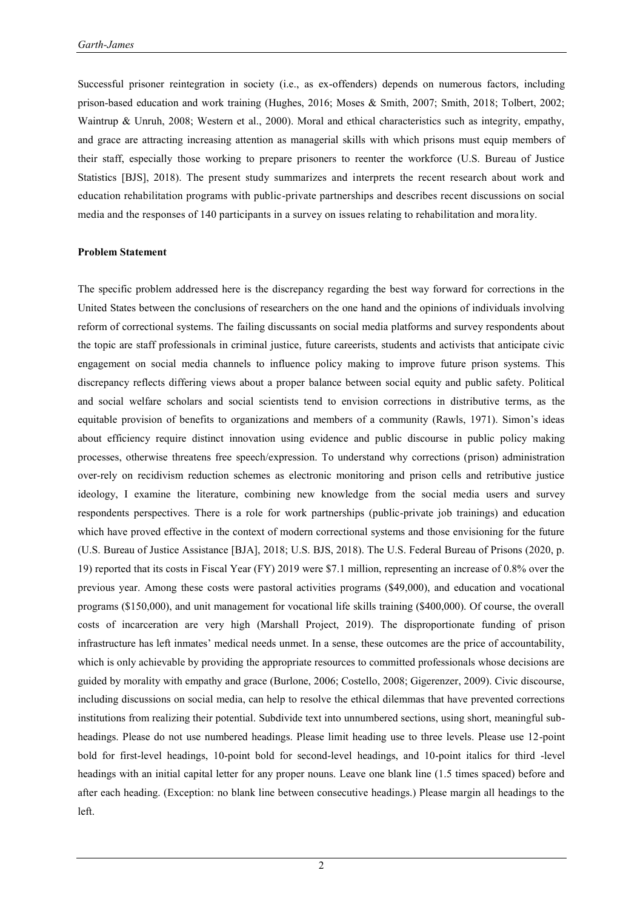Successful prisoner reintegration in society (i.e., as ex-offenders) depends on numerous factors, including prison-based education and work training (Hughes, 2016; Moses & Smith, 2007; Smith, 2018; Tolbert, 2002; Waintrup & Unruh, 2008; Western et al., 2000). Moral and ethical characteristics such as integrity, empathy, and grace are attracting increasing attention as managerial skills with which prisons must equip members of their staff, especially those working to prepare prisoners to reenter the workforce (U.S. Bureau of Justice Statistics [BJS], 2018). The present study summarizes and interprets the recent research about work and education rehabilitation programs with public-private partnerships and describes recent discussions on social media and the responses of 140 participants in a survey on issues relating to rehabilitation and morality.

#### **Problem Statement**

The specific problem addressed here is the discrepancy regarding the best way forward for corrections in the United States between the conclusions of researchers on the one hand and the opinions of individuals involving reform of correctional systems. The failing discussants on social media platforms and survey respondents about the topic are staff professionals in criminal justice, future careerists, students and activists that anticipate civic engagement on social media channels to influence policy making to improve future prison systems. This discrepancy reflects differing views about a proper balance between social equity and public safety. Political and social welfare scholars and social scientists tend to envision corrections in distributive terms, as the equitable provision of benefits to organizations and members of a community (Rawls, 1971). Simon's ideas about efficiency require distinct innovation using evidence and public discourse in public policy making processes, otherwise threatens free speech/expression. To understand why corrections (prison) administration over-rely on recidivism reduction schemes as electronic monitoring and prison cells and retributive justice ideology, I examine the literature, combining new knowledge from the social media users and survey respondents perspectives. There is a role for work partnerships (public-private job trainings) and education which have proved effective in the context of modern correctional systems and those envisioning for the future (U.S. Bureau of Justice Assistance [BJA], 2018; U.S. BJS, 2018). The U.S. Federal Bureau of Prisons (2020, p. 19) reported that its costs in Fiscal Year (FY) 2019 were \$7.1 million, representing an increase of 0.8% over the previous year. Among these costs were pastoral activities programs (\$49,000), and education and vocational programs (\$150,000), and unit management for vocational life skills training (\$400,000). Of course, the overall costs of incarceration are very high (Marshall Project, 2019). The disproportionate funding of prison infrastructure has left inmates' medical needs unmet. In a sense, these outcomes are the price of accountability, which is only achievable by providing the appropriate resources to committed professionals whose decisions are guided by morality with empathy and grace (Burlone, 2006; Costello, 2008; Gigerenzer, 2009). Civic discourse, including discussions on social media, can help to resolve the ethical dilemmas that have prevented corrections institutions from realizing their potential. Subdivide text into unnumbered sections, using short, meaningful subheadings. Please do not use numbered headings. Please limit heading use to three levels. Please use 12-point bold for first-level headings, 10-point bold for second-level headings, and 10-point italics for third -level headings with an initial capital letter for any proper nouns. Leave one blank line (1.5 times spaced) before and after each heading. (Exception: no blank line between consecutive headings.) Please margin all headings to the left.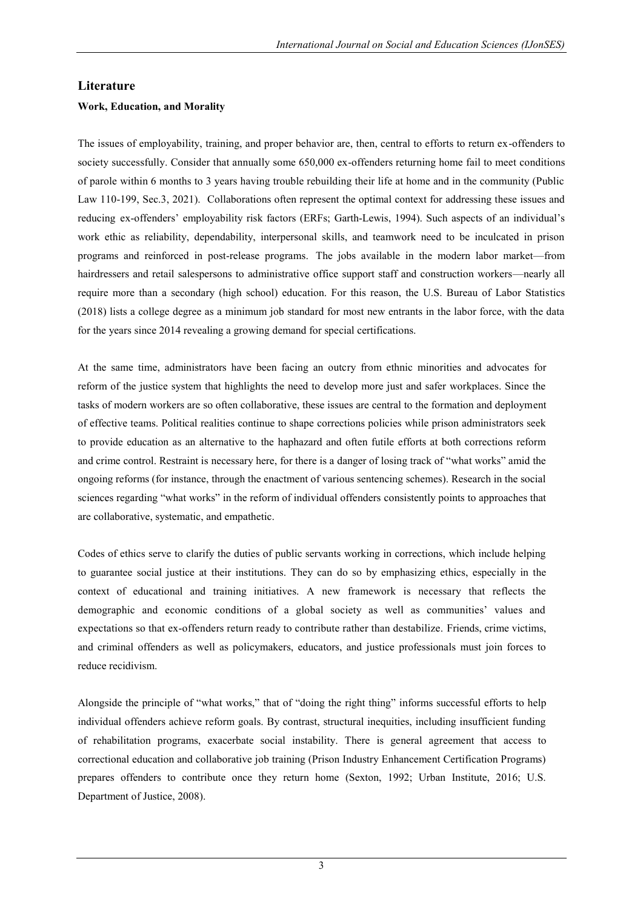# **Literature**

### **Work, Education, and Morality**

The issues of employability, training, and proper behavior are, then, central to efforts to return ex-offenders to society successfully. Consider that annually some 650,000 ex-offenders returning home fail to meet conditions of parole within 6 months to 3 years having trouble rebuilding their life at home and in the community (Public Law 110-199, Sec.3, 2021). Collaborations often represent the optimal context for addressing these issues and reducing ex-offenders' employability risk factors (ERFs; Garth-Lewis, 1994). Such aspects of an individual's work ethic as reliability, dependability, interpersonal skills, and teamwork need to be inculcated in prison programs and reinforced in post-release programs. The jobs available in the modern labor market—from hairdressers and retail salespersons to administrative office support staff and construction workers—nearly all require more than a secondary (high school) education. For this reason, the U.S. Bureau of Labor Statistics (2018) lists a college degree as a minimum job standard for most new entrants in the labor force, with the data for the years since 2014 revealing a growing demand for special certifications.

At the same time, administrators have been facing an outcry from ethnic minorities and advocates for reform of the justice system that highlights the need to develop more just and safer workplaces. Since the tasks of modern workers are so often collaborative, these issues are central to the formation and deployment of effective teams. Political realities continue to shape corrections policies while prison administrators seek to provide education as an alternative to the haphazard and often futile efforts at both corrections reform and crime control. Restraint is necessary here, for there is a danger of losing track of "what works" amid the ongoing reforms (for instance, through the enactment of various sentencing schemes). Research in the social sciences regarding "what works" in the reform of individual offenders consistently points to approaches that are collaborative, systematic, and empathetic.

Codes of ethics serve to clarify the duties of public servants working in corrections, which include helping to guarantee social justice at their institutions. They can do so by emphasizing ethics, especially in the context of educational and training initiatives. A new framework is necessary that reflects the demographic and economic conditions of a global society as well as communities' values and expectations so that ex-offenders return ready to contribute rather than destabilize. Friends, crime victims, and criminal offenders as well as policymakers, educators, and justice professionals must join forces to reduce recidivism.

Alongside the principle of "what works," that of "doing the right thing" informs successful efforts to help individual offenders achieve reform goals. By contrast, structural inequities, including insufficient funding of rehabilitation programs, exacerbate social instability. There is general agreement that access to correctional education and collaborative job training (Prison Industry Enhancement Certification Programs) prepares offenders to contribute once they return home (Sexton, 1992; Urban Institute, 2016; U.S. Department of Justice, 2008).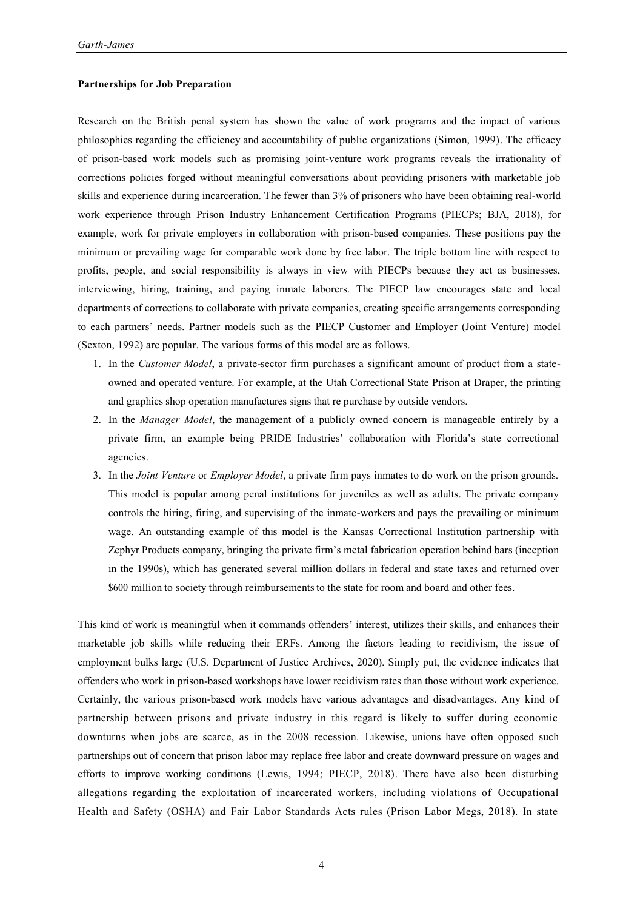#### **Partnerships for Job Preparation**

Research on the British penal system has shown the value of work programs and the impact of various philosophies regarding the efficiency and accountability of public organizations (Simon, 1999). The efficacy of prison-based work models such as promising joint-venture work programs reveals the irrationality of corrections policies forged without meaningful conversations about providing prisoners with marketable job skills and experience during incarceration. The fewer than 3% of prisoners who have been obtaining real-world work experience through Prison Industry Enhancement Certification Programs (PIECPs; BJA, 2018), for example, work for private employers in collaboration with prison-based companies. These positions pay the minimum or prevailing wage for comparable work done by free labor. The triple bottom line with respect to profits, people, and social responsibility is always in view with PIECPs because they act as businesses, interviewing, hiring, training, and paying inmate laborers. The PIECP law encourages state and local departments of corrections to collaborate with private companies, creating specific arrangements corresponding to each partners' needs. Partner models such as the PIECP Customer and Employer (Joint Venture) model (Sexton, 1992) are popular. The various forms of this model are as follows.

- 1. In the *Customer Model*, a private-sector firm purchases a significant amount of product from a stateowned and operated venture. For example, at the Utah Correctional State Prison at Draper, the printing and graphics shop operation manufactures signs that re purchase by outside vendors.
- 2. In the *Manager Model*, the management of a publicly owned concern is manageable entirely by a private firm, an example being PRIDE Industries' collaboration with Florida's state correctional agencies.
- 3. In the *Joint Venture* or *Employer Model*, a private firm pays inmates to do work on the prison grounds. This model is popular among penal institutions for juveniles as well as adults. The private company controls the hiring, firing, and supervising of the inmate-workers and pays the prevailing or minimum wage. An outstanding example of this model is the Kansas Correctional Institution partnership with Zephyr Products company, bringing the private firm's metal fabrication operation behind bars (inception in the 1990s), which has generated several million dollars in federal and state taxes and returned over \$600 million to society through reimbursements to the state for room and board and other fees.

This kind of work is meaningful when it commands offenders' interest, utilizes their skills, and enhances their marketable job skills while reducing their ERFs. Among the factors leading to recidivism, the issue of employment bulks large (U.S. Department of Justice Archives, 2020). Simply put, the evidence indicates that offenders who work in prison-based workshops have lower recidivism rates than those without work experience. Certainly, the various prison-based work models have various advantages and disadvantages. Any kind of partnership between prisons and private industry in this regard is likely to suffer during economic downturns when jobs are scarce, as in the 2008 recession. Likewise, unions have often opposed such partnerships out of concern that prison labor may replace free labor and create downward pressure on wages and efforts to improve working conditions (Lewis, 1994; PIECP, 2018). There have also been disturbing allegations regarding the exploitation of incarcerated workers, including violations of Occupational Health and Safety (OSHA) and Fair Labor Standards Acts rules (Prison Labor Megs, 2018). In state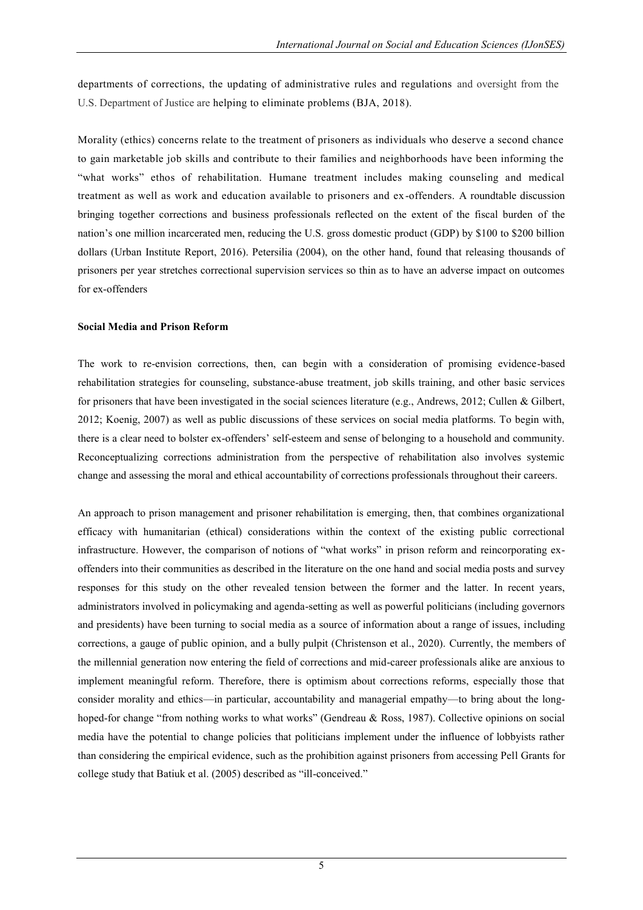departments of corrections, the updating of administrative rules and regulations and oversight from the U.S. Department of Justice are helping to eliminate problems (BJA, 2018).

Morality (ethics) concerns relate to the treatment of prisoners as individuals who deserve a second chance to gain marketable job skills and contribute to their families and neighborhoods have been informing the "what works" ethos of rehabilitation. Humane treatment includes making counseling and medical treatment as well as work and education available to prisoners and ex-offenders. A roundtable discussion bringing together corrections and business professionals reflected on the extent of the fiscal burden of the nation's one million incarcerated men, reducing the U.S. gross domestic product (GDP) by \$100 to \$200 billion dollars (Urban Institute Report, 2016). Petersilia (2004), on the other hand, found that releasing thousands of prisoners per year stretches correctional supervision services so thin as to have an adverse impact on outcomes for ex-offenders

#### **Social Media and Prison Reform**

The work to re-envision corrections, then, can begin with a consideration of promising evidence-based rehabilitation strategies for counseling, substance-abuse treatment, job skills training, and other basic services for prisoners that have been investigated in the social sciences literature (e.g., Andrews, 2012; Cullen & Gilbert, 2012; Koenig, 2007) as well as public discussions of these services on social media platforms. To begin with, there is a clear need to bolster ex-offenders' self-esteem and sense of belonging to a household and community. Reconceptualizing corrections administration from the perspective of rehabilitation also involves systemic change and assessing the moral and ethical accountability of corrections professionals throughout their careers.

An approach to prison management and prisoner rehabilitation is emerging, then, that combines organizational efficacy with humanitarian (ethical) considerations within the context of the existing public correctional infrastructure. However, the comparison of notions of "what works" in prison reform and reincorporating exoffenders into their communities as described in the literature on the one hand and social media posts and survey responses for this study on the other revealed tension between the former and the latter. In recent years, administrators involved in policymaking and agenda-setting as well as powerful politicians (including governors and presidents) have been turning to social media as a source of information about a range of issues, including corrections, a gauge of public opinion, and a bully pulpit (Christenson et al., 2020). Currently, the members of the millennial generation now entering the field of corrections and mid-career professionals alike are anxious to implement meaningful reform. Therefore, there is optimism about corrections reforms, especially those that consider morality and ethics—in particular, accountability and managerial empathy—to bring about the longhoped-for change "from nothing works to what works" (Gendreau & Ross, 1987). Collective opinions on social media have the potential to change policies that politicians implement under the influence of lobbyists rather than considering the empirical evidence, such as the prohibition against prisoners from accessing Pell Grants for college study that Batiuk et al. (2005) described as "ill-conceived."

5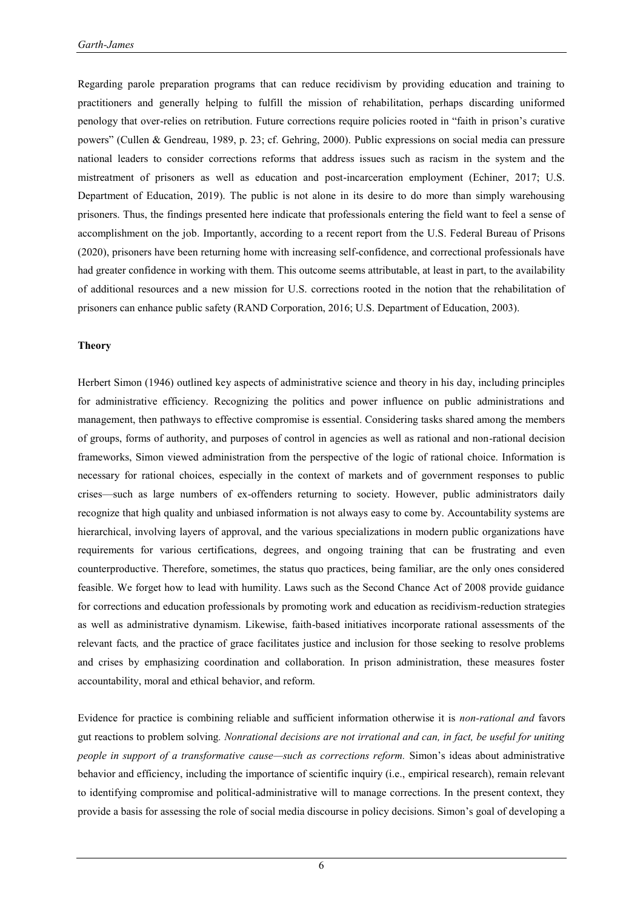Regarding parole preparation programs that can reduce recidivism by providing education and training to practitioners and generally helping to fulfill the mission of rehabilitation, perhaps discarding uniformed penology that over-relies on retribution. Future corrections require policies rooted in "faith in prison's curative powers‖ (Cullen & Gendreau, 1989, p. 23; cf. Gehring, 2000). Public expressions on social media can pressure national leaders to consider corrections reforms that address issues such as racism in the system and the mistreatment of prisoners as well as education and post-incarceration employment (Echiner, 2017; U.S. Department of Education, 2019). The public is not alone in its desire to do more than simply warehousing prisoners. Thus, the findings presented here indicate that professionals entering the field want to feel a sense of accomplishment on the job. Importantly, according to a recent report from the U.S. Federal Bureau of Prisons (2020), prisoners have been returning home with increasing self-confidence, and correctional professionals have had greater confidence in working with them. This outcome seems attributable, at least in part, to the availability of additional resources and a new mission for U.S. corrections rooted in the notion that the rehabilitation of prisoners can enhance public safety (RAND Corporation, 2016; U.S. Department of Education, 2003).

#### **Theory**

Herbert Simon (1946) outlined key aspects of administrative science and theory in his day, including principles for administrative efficiency. Recognizing the politics and power influence on public administrations and management, then pathways to effective compromise is essential. Considering tasks shared among the members of groups, forms of authority, and purposes of control in agencies as well as rational and non-rational decision frameworks, Simon viewed administration from the perspective of the logic of rational choice. Information is necessary for rational choices, especially in the context of markets and of government responses to public crises—such as large numbers of ex-offenders returning to society. However, public administrators daily recognize that high quality and unbiased information is not always easy to come by. Accountability systems are hierarchical, involving layers of approval, and the various specializations in modern public organizations have requirements for various certifications, degrees, and ongoing training that can be frustrating and even counterproductive. Therefore, sometimes, the status quo practices, being familiar, are the only ones considered feasible. We forget how to lead with humility. Laws such as the Second Chance Act of 2008 provide guidance for corrections and education professionals by promoting work and education as recidivism-reduction strategies as well as administrative dynamism. Likewise, faith-based initiatives incorporate rational assessments of the relevant facts*,* and the practice of grace facilitates justice and inclusion for those seeking to resolve problems and crises by emphasizing coordination and collaboration. In prison administration, these measures foster accountability, moral and ethical behavior, and reform.

Evidence for practice is combining reliable and sufficient information otherwise it is *non-rational and* favors gut reactions to problem solving*. Nonrational decisions are not irrational and can, in fact, be useful for uniting people in support of a transformative cause—such as corrections reform.* Simon's ideas about administrative behavior and efficiency, including the importance of scientific inquiry (i.e., empirical research), remain relevant to identifying compromise and political-administrative will to manage corrections. In the present context, they provide a basis for assessing the role of social media discourse in policy decisions. Simon's goal of developing a

6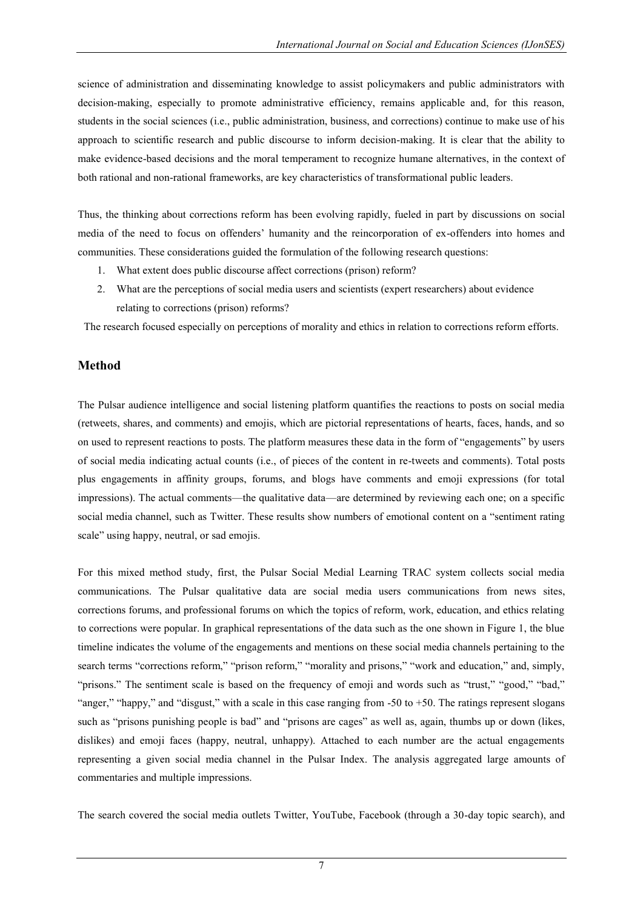science of administration and disseminating knowledge to assist policymakers and public administrators with decision-making, especially to promote administrative efficiency, remains applicable and, for this reason, students in the social sciences (i.e., public administration, business, and corrections) continue to make use of his approach to scientific research and public discourse to inform decision-making. It is clear that the ability to make evidence-based decisions and the moral temperament to recognize humane alternatives, in the context of both rational and non-rational frameworks, are key characteristics of transformational public leaders.

Thus, the thinking about corrections reform has been evolving rapidly, fueled in part by discussions on social media of the need to focus on offenders' humanity and the reincorporation of ex-offenders into homes and communities. These considerations guided the formulation of the following research questions:

- 1. What extent does public discourse affect corrections (prison) reform?
- 2. What are the perceptions of social media users and scientists (expert researchers) about evidence relating to corrections (prison) reforms?

The research focused especially on perceptions of morality and ethics in relation to corrections reform efforts.

# **Method**

The Pulsar audience intelligence and social listening platform quantifies the reactions to posts on social media (retweets, shares, and comments) and emojis, which are pictorial representations of hearts, faces, hands, and so on used to represent reactions to posts. The platform measures these data in the form of "engagements" by users of social media indicating actual counts (i.e., of pieces of the content in re-tweets and comments). Total posts plus engagements in affinity groups, forums, and blogs have comments and emoji expressions (for total impressions). The actual comments—the qualitative data—are determined by reviewing each one; on a specific social media channel, such as Twitter. These results show numbers of emotional content on a "sentiment rating scale" using happy, neutral, or sad emojis.

For this mixed method study, first, the Pulsar Social Medial Learning TRAC system collects social media communications. The Pulsar qualitative data are social media users communications from news sites, corrections forums, and professional forums on which the topics of reform, work, education, and ethics relating to corrections were popular. In graphical representations of the data such as the one shown in Figure 1, the blue timeline indicates the volume of the engagements and mentions on these social media channels pertaining to the search terms "corrections reform," "prison reform," "morality and prisons," "work and education," and, simply, "prisons." The sentiment scale is based on the frequency of emoji and words such as "trust," "good," "bad," "anger," "happy," and "disgust," with a scale in this case ranging from  $-50$  to  $+50$ . The ratings represent slogans such as "prisons punishing people is bad" and "prisons are cages" as well as, again, thumbs up or down (likes, dislikes) and emoji faces (happy, neutral, unhappy). Attached to each number are the actual engagements representing a given social media channel in the Pulsar Index. The analysis aggregated large amounts of commentaries and multiple impressions.

The search covered the social media outlets Twitter, YouTube, Facebook (through a 30-day topic search), and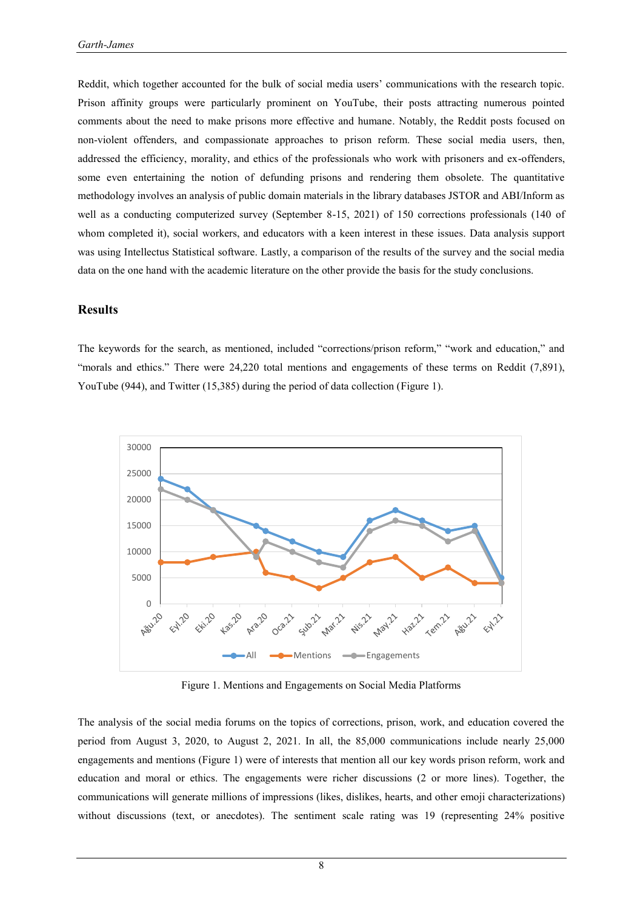Reddit, which together accounted for the bulk of social media users' communications with the research topic. Prison affinity groups were particularly prominent on YouTube, their posts attracting numerous pointed comments about the need to make prisons more effective and humane. Notably, the Reddit posts focused on non-violent offenders, and compassionate approaches to prison reform. These social media users, then, addressed the efficiency, morality, and ethics of the professionals who work with prisoners and ex-offenders, some even entertaining the notion of defunding prisons and rendering them obsolete. The quantitative methodology involves an analysis of public domain materials in the library databases JSTOR and ABI/Inform as well as a conducting computerized survey (September 8-15, 2021) of 150 corrections professionals (140 of whom completed it), social workers, and educators with a keen interest in these issues. Data analysis support was using Intellectus Statistical software. Lastly, a comparison of the results of the survey and the social media data on the one hand with the academic literature on the other provide the basis for the study conclusions.

### **Results**

The keywords for the search, as mentioned, included "corrections/prison reform," "work and education," and ―morals and ethics.‖ There were 24,220 total mentions and engagements of these terms on Reddit (7,891), YouTube (944), and Twitter (15,385) during the period of data collection (Figure 1).



Figure 1. Mentions and Engagements on Social Media Platforms

The analysis of the social media forums on the topics of corrections, prison, work, and education covered the period from August 3, 2020, to August 2, 2021. In all, the 85,000 communications include nearly 25,000 engagements and mentions (Figure 1) were of interests that mention all our key words prison reform, work and education and moral or ethics. The engagements were richer discussions (2 or more lines). Together, the communications will generate millions of impressions (likes, dislikes, hearts, and other emoji characterizations) without discussions (text, or anecdotes). The sentiment scale rating was 19 (representing 24% positive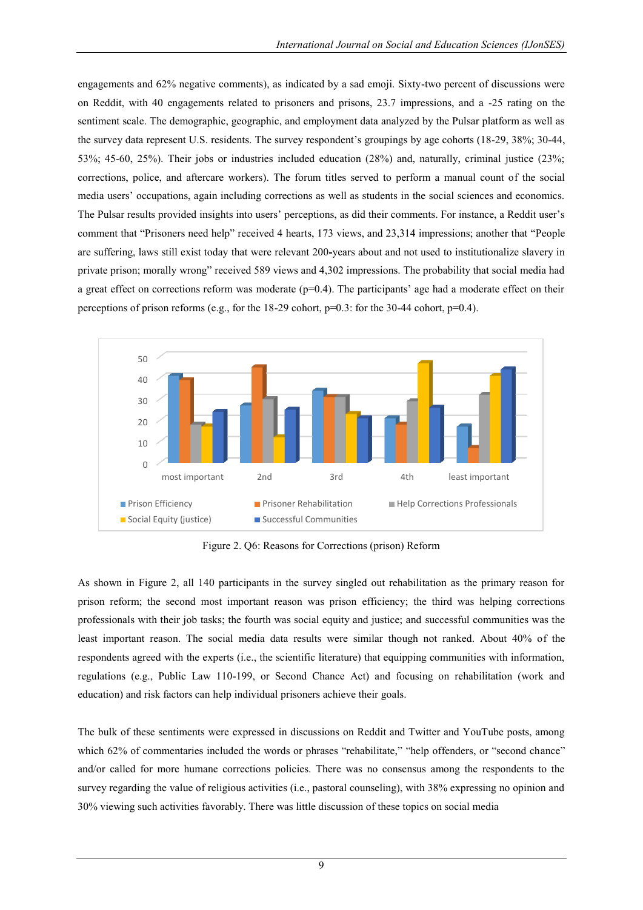engagements and 62% negative comments), as indicated by a sad emoji. Sixty-two percent of discussions were on Reddit, with 40 engagements related to prisoners and prisons, 23.7 impressions, and a -25 rating on the sentiment scale. The demographic, geographic, and employment data analyzed by the Pulsar platform as well as the survey data represent U.S. residents. The survey respondent's groupings by age cohorts (18-29, 38%; 30-44, 53%; 45-60, 25%). Their jobs or industries included education (28%) and, naturally, criminal justice (23%; corrections, police, and aftercare workers). The forum titles served to perform a manual count of the social media users' occupations, again including corrections as well as students in the social sciences and economics. The Pulsar results provided insights into users' perceptions, as did their comments. For instance, a Reddit user's comment that "Prisoners need help" received 4 hearts, 173 views, and 23,314 impressions; another that "People" are suffering, laws still exist today that were relevant 200**-**years about and not used to institutionalize slavery in private prison; morally wrong" received 589 views and 4,302 impressions. The probability that social media had a great effect on corrections reform was moderate  $(p=0.4)$ . The participants' age had a moderate effect on their perceptions of prison reforms (e.g., for the 18-29 cohort, p=0.3: for the 30-44 cohort, p=0.4).



Figure 2. Q6: Reasons for Corrections (prison) Reform

As shown in Figure 2, all 140 participants in the survey singled out rehabilitation as the primary reason for prison reform; the second most important reason was prison efficiency; the third was helping corrections professionals with their job tasks; the fourth was social equity and justice; and successful communities was the least important reason. The social media data results were similar though not ranked. About 40% of the respondents agreed with the experts (i.e., the scientific literature) that equipping communities with information, regulations (e.g., Public Law 110-199, or Second Chance Act) and focusing on rehabilitation (work and education) and risk factors can help individual prisoners achieve their goals.

The bulk of these sentiments were expressed in discussions on Reddit and Twitter and YouTube posts, among which 62% of commentaries included the words or phrases "rehabilitate," "help offenders, or "second chance" and/or called for more humane corrections policies. There was no consensus among the respondents to the survey regarding the value of religious activities (i.e., pastoral counseling), with 38% expressing no opinion and 30% viewing such activities favorably. There was little discussion of these topics on social media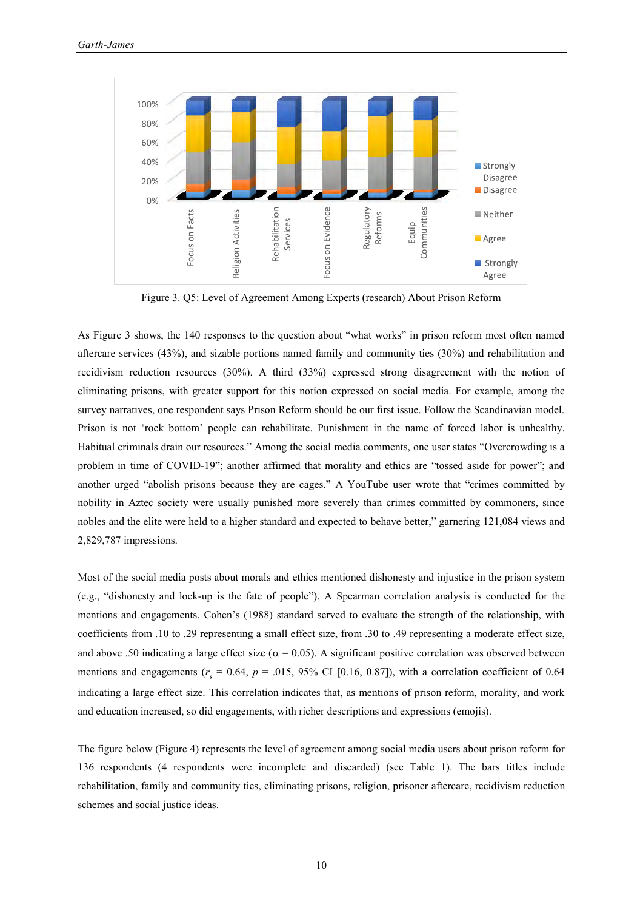

Figure 3. Q5: Level of Agreement Among Experts (research) About Prison Reform

As Figure 3 shows, the 140 responses to the question about "what works" in prison reform most often named aftercare services (43%), and sizable portions named family and community ties (30%) and rehabilitation and recidivism reduction resources (30%). A third (33%) expressed strong disagreement with the notion of eliminating prisons, with greater support for this notion expressed on social media. For example, among the survey narratives, one respondent says Prison Reform should be our first issue. Follow the Scandinavian model. Prison is not ‗rock bottom' people can rehabilitate. Punishment in the name of forced labor is unhealthy. Habitual criminals drain our resources." Among the social media comments, one user states "Overcrowding is a problem in time of COVID-19"; another affirmed that morality and ethics are "tossed aside for power"; and another urged "abolish prisons because they are cages." A YouTube user wrote that "crimes committed by nobility in Aztec society were usually punished more severely than crimes committed by commoners, since nobles and the elite were held to a higher standard and expected to behave better," garnering 121,084 views and 2,829,787 impressions.

Most of the social media posts about morals and ethics mentioned dishonesty and injustice in the prison system (e.g., "dishonesty and lock-up is the fate of people"). A Spearman correlation analysis is conducted for the mentions and engagements. Cohen's (1988) standard served to evaluate the strength of the relationship, with coefficients from .10 to .29 representing a small effect size, from .30 to .49 representing a moderate effect size, and above .50 indicating a large effect size ( $\alpha$  = 0.05). A significant positive correlation was observed between mentions and engagements ( $r_s = 0.64$ ,  $p = .015$ , 95% CI [0.16, 0.87]), with a correlation coefficient of 0.64 indicating a large effect size. This correlation indicates that, as mentions of prison reform, morality, and work and education increased, so did engagements, with richer descriptions and expressions (emojis).

The figure below (Figure 4) represents the level of agreement among social media users about prison reform for 136 respondents (4 respondents were incomplete and discarded) (see Table 1). The bars titles include rehabilitation, family and community ties, eliminating prisons, religion, prisoner aftercare, recidivism reduction schemes and social justice ideas.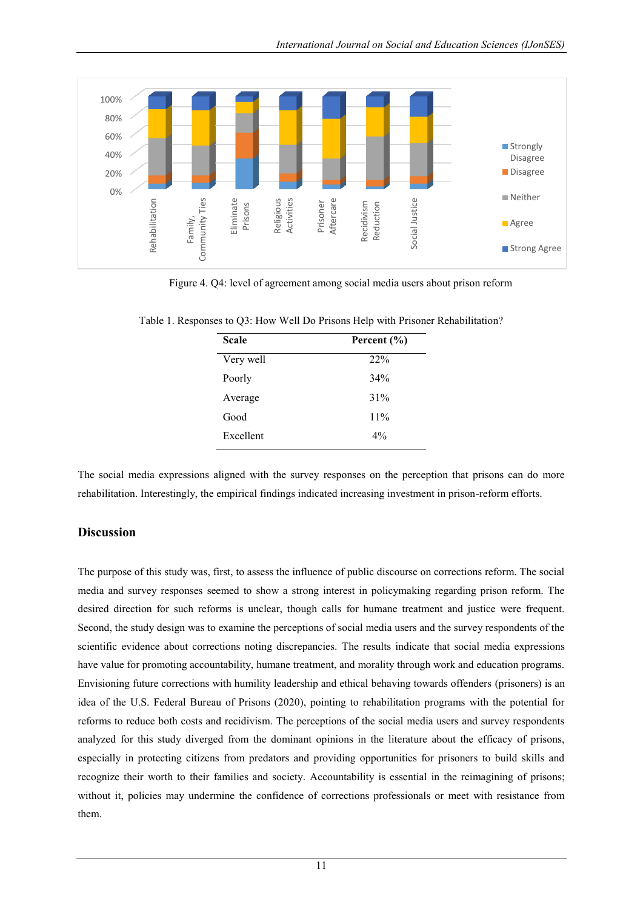

Figure 4. Q4: level of agreement among social media users about prison reform

| <b>Scale</b> | Percent $(\% )$ |
|--------------|-----------------|
| Very well    | 22%             |
| Poorly       | 34%             |
| Average      | 31%             |
| Good         | 11%             |
| Excellent    | $4\%$           |

Table 1. Responses to Q3: How Well Do Prisons Help with Prisoner Rehabilitation?

The social media expressions aligned with the survey responses on the perception that prisons can do more rehabilitation. Interestingly, the empirical findings indicated increasing investment in prison-reform efforts.

# **Discussion**

The purpose of this study was, first, to assess the influence of public discourse on corrections reform. The social media and survey responses seemed to show a strong interest in policymaking regarding prison reform. The desired direction for such reforms is unclear, though calls for humane treatment and justice were frequent. Second, the study design was to examine the perceptions of social media users and the survey respondents of the scientific evidence about corrections noting discrepancies. The results indicate that social media expressions have value for promoting accountability, humane treatment, and morality through work and education programs. Envisioning future corrections with humility leadership and ethical behaving towards offenders (prisoners) is an idea of the U.S. Federal Bureau of Prisons (2020), pointing to rehabilitation programs with the potential for reforms to reduce both costs and recidivism. The perceptions of the social media users and survey respondents analyzed for this study diverged from the dominant opinions in the literature about the efficacy of prisons, especially in protecting citizens from predators and providing opportunities for prisoners to build skills and recognize their worth to their families and society. Accountability is essential in the reimagining of prisons; without it, policies may undermine the confidence of corrections professionals or meet with resistance from them.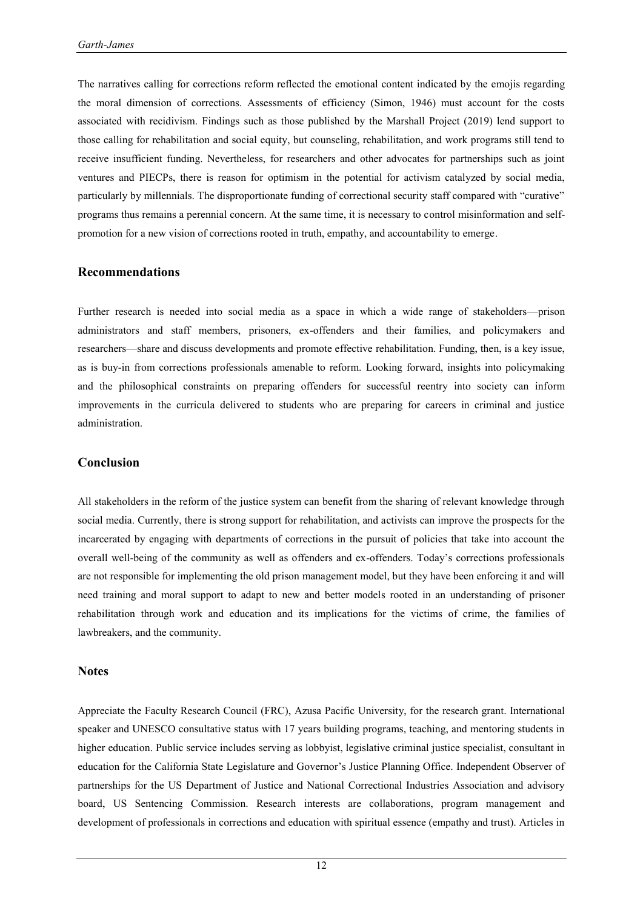The narratives calling for corrections reform reflected the emotional content indicated by the emojis regarding the moral dimension of corrections. Assessments of efficiency (Simon, 1946) must account for the costs associated with recidivism. Findings such as those published by the Marshall Project (2019) lend support to those calling for rehabilitation and social equity, but counseling, rehabilitation, and work programs still tend to receive insufficient funding. Nevertheless, for researchers and other advocates for partnerships such as joint ventures and PIECPs, there is reason for optimism in the potential for activism catalyzed by social media, particularly by millennials. The disproportionate funding of correctional security staff compared with "curative" programs thus remains a perennial concern. At the same time, it is necessary to control misinformation and selfpromotion for a new vision of corrections rooted in truth, empathy, and accountability to emerge.

#### **Recommendations**

Further research is needed into social media as a space in which a wide range of stakeholders—prison administrators and staff members, prisoners, ex-offenders and their families, and policymakers and researchers—share and discuss developments and promote effective rehabilitation. Funding, then, is a key issue, as is buy-in from corrections professionals amenable to reform. Looking forward, insights into policymaking and the philosophical constraints on preparing offenders for successful reentry into society can inform improvements in the curricula delivered to students who are preparing for careers in criminal and justice administration.

### **Conclusion**

All stakeholders in the reform of the justice system can benefit from the sharing of relevant knowledge through social media. Currently, there is strong support for rehabilitation, and activists can improve the prospects for the incarcerated by engaging with departments of corrections in the pursuit of policies that take into account the overall well-being of the community as well as offenders and ex-offenders. Today's corrections professionals are not responsible for implementing the old prison management model, but they have been enforcing it and will need training and moral support to adapt to new and better models rooted in an understanding of prisoner rehabilitation through work and education and its implications for the victims of crime, the families of lawbreakers, and the community.

#### **Notes**

Appreciate the Faculty Research Council (FRC), Azusa Pacific University, for the research grant. International speaker and UNESCO consultative status with 17 years building programs, teaching, and mentoring students in higher education. Public service includes serving as lobbyist, legislative criminal justice specialist, consultant in education for the California State Legislature and Governor's Justice Planning Office. Independent Observer of partnerships for the US Department of Justice and National Correctional Industries Association and advisory board, US Sentencing Commission. Research interests are collaborations, program management and development of professionals in corrections and education with spiritual essence (empathy and trust). Articles in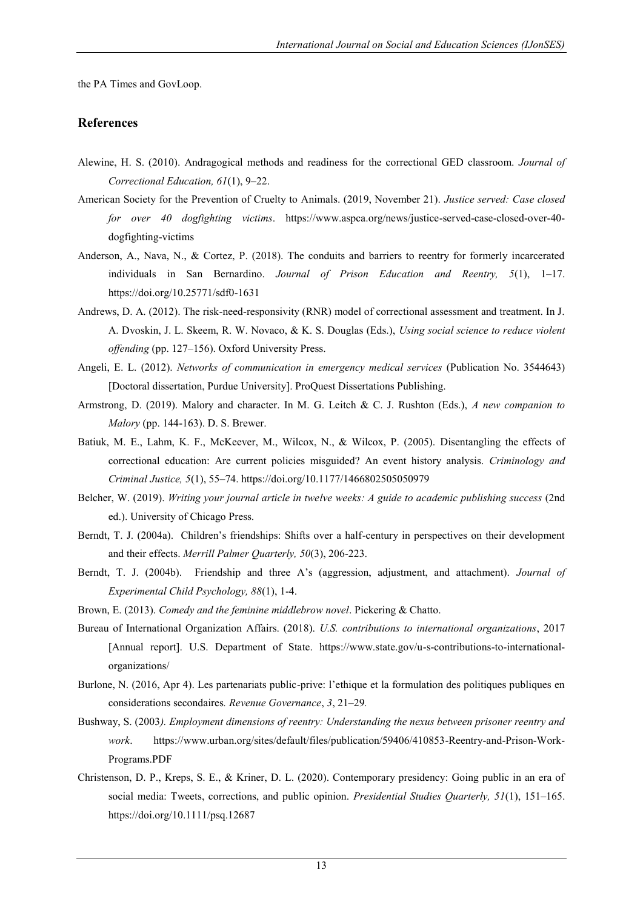the PA Times and GovLoop.

### **References**

- Alewine, H. S. (2010). Andragogical methods and readiness for the correctional GED classroom. *Journal of Correctional Education, 61*(1), 9–22.
- American Society for the Prevention of Cruelty to Animals. (2019, November 21). *Justice served: Case closed for over 40 dogfighting victims*. https://www.aspca.org/news/justice-served-case-closed-over-40 dogfighting-victims
- Anderson, A., Nava, N., & Cortez, P. (2018). The conduits and barriers to reentry for formerly incarcerated individuals in San Bernardino. *Journal of Prison Education and Reentry, 5*(1), 1–17. https://doi.org/10.25771/sdf0-1631
- Andrews, D. A. (2012). The risk-need-responsivity (RNR) model of correctional assessment and treatment. In J. A. Dvoskin, J. L. Skeem, R. W. Novaco, & K. S. Douglas (Eds.), *Using social science to reduce violent offending* (pp. 127–156). Oxford University Press.
- Angeli, E. L. (2012). *Networks of communication in emergency medical services* (Publication No. 3544643) [Doctoral dissertation, Purdue University]. ProQuest Dissertations Publishing.
- Armstrong, D. (2019). Malory and character. In M. G. Leitch & C. J. Rushton (Eds.), *A new companion to Malory* (pp. 144-163). D. S. Brewer.
- Batiuk, M. E., Lahm, K. F., McKeever, M., Wilcox, N., & Wilcox, P. (2005). Disentangling the effects of correctional education: Are current policies misguided? An event history analysis. *Criminology and Criminal Justice, 5*(1), 55–74. https://doi.org/10.1177/1466802505050979
- Belcher, W. (2019). *Writing your journal article in twelve weeks: A guide to academic publishing success* (2nd ed.). University of Chicago Press.
- Berndt, T. J. (2004a). Children's friendships: Shifts over a half-century in perspectives on their development and their effects. *Merrill Palmer Quarterly, 50*(3), 206-223.
- Berndt, T. J. (2004b). Friendship and three A's (aggression, adjustment, and attachment). *Journal of Experimental Child Psychology, 88*(1), 1-4.
- Brown, E. (2013). *Comedy and the feminine middlebrow novel*. Pickering & Chatto.
- Bureau of International Organization Affairs. (2018). *U.S. contributions to international organizations*, 2017 [Annual report]. U.S. Department of State. https://www.state.gov/u-s-contributions-to-internationalorganizations/
- Burlone, N. (2016, Apr 4). Les partenariats public-prive: l'ethique et la formulation des politiques publiques en considerations secondaires*. Revenue Governance*, *3*, 21–29*.*
- Bushway, S. (2003*). Employment dimensions of reentry: Understanding the nexus between prisoner reentry and work*. https://www.urban.org/sites/default/files/publication/59406/410853-Reentry-and-Prison-Work-Programs.PDF
- Christenson, D. P., Kreps, S. E., & Kriner, D. L. (2020). Contemporary presidency: Going public in an era of social media: Tweets, corrections, and public opinion. *Presidential Studies Quarterly, 51*(1), 151–165. https://doi.org/10.1111/psq.12687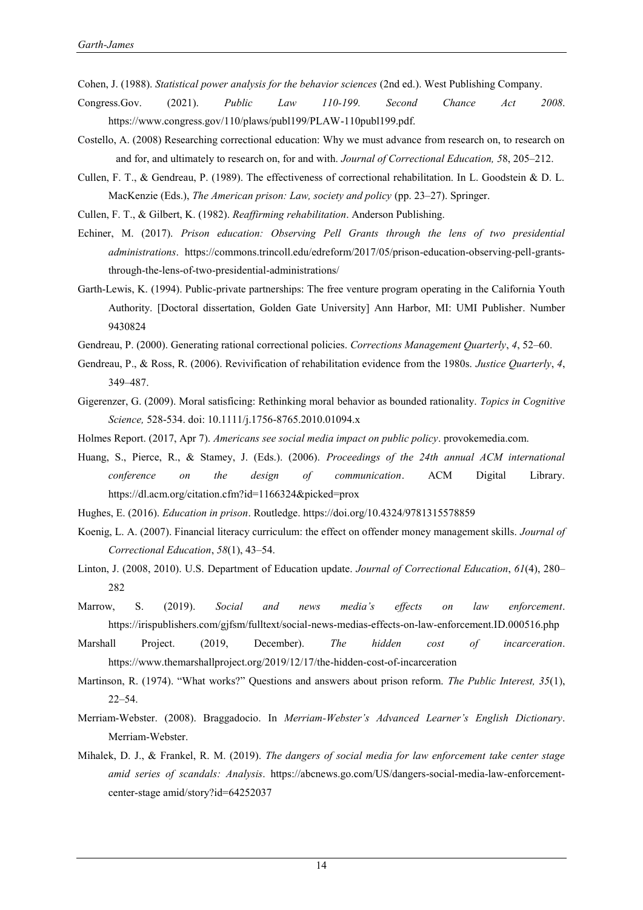Cohen, J. (1988). *Statistical power analysis for the behavior sciences* (2nd ed.). West Publishing Company.

- Congress.Gov. (2021). *Public Law 110-199. Second Chance Act 2008*. https://www.congress.gov/110/plaws/publ199/PLAW-110publ199.pdf.
- Costello, A. (2008) Researching correctional education: Why we must advance from research on, to research on and for, and ultimately to research on, for and with. *Journal of Correctional Education, 5*8, 205–212.
- Cullen, F. T., & Gendreau, P. (1989). The effectiveness of correctional rehabilitation. In L. Goodstein & D. L. MacKenzie (Eds.), *The American prison: Law, society and policy* (pp. 23–27). Springer.
- Cullen, F. T., & Gilbert, K. (1982). *Reaffirming rehabilitation*. Anderson Publishing.
- Echiner, M. (2017). *Prison education: Observing Pell Grants through the lens of two presidential administrations*. https://commons.trincoll.edu/edreform/2017/05/prison-education-observing-pell-grantsthrough-the-lens-of-two-presidential-administrations/
- Garth-Lewis, K. (1994). Public-private partnerships: The free venture program operating in the California Youth Authority. [Doctoral dissertation, Golden Gate University] Ann Harbor, MI: UMI Publisher. Number 9430824
- Gendreau, P. (2000). Generating rational correctional policies. *Corrections Management Quarterly*, *4*, 52–60.
- Gendreau, P., & Ross, R. (2006). Revivification of rehabilitation evidence from the 1980s. *Justice Quarterly*, *4*, 349–487.
- Gigerenzer, G. (2009). Moral satisficing: Rethinking moral behavior as bounded rationality. *Topics in Cognitive Science,* 528-534. doi: 10.1111/j.1756-8765.2010.01094.x
- Holmes Report. (2017, Apr 7). *Americans see social media impact on public policy*. provokemedia.com.
- Huang, S., Pierce, R., & Stamey, J. (Eds.). (2006). *Proceedings of the 24th annual ACM international conference on the design of communication*. ACM Digital Library. https://dl.acm.org/citation.cfm?id=1166324&picked=prox
- Hughes, E. (2016). *Education in prison*. Routledge. https://doi.org/10.4324/9781315578859
- Koenig, L. A. (2007). Financial literacy curriculum: the effect on offender money management skills. *Journal of Correctional Education*, *58*(1), 43–54.
- Linton, J. (2008, 2010). U.S. Department of Education update. *Journal of Correctional Education*, *61*(4), 280– 282
- Marrow, S. (2019). *Social and news media's effects on law enforcement*. https://irispublishers.com/gjfsm/fulltext/social-news-medias-effects-on-law-enforcement.ID.000516.php
- Marshall Project. (2019, December). *The hidden cost of incarceration*. https://www.themarshallproject.org/2019/12/17/the-hidden-cost-of-incarceration
- Martinson, R. (1974). "What works?" Questions and answers about prison reform. *The Public Interest, 35*(1), 22–54.
- Merriam-Webster. (2008). Braggadocio. In *Merriam-Webster's Advanced Learner's English Dictionary*. Merriam-Webster.
- Mihalek, D. J., & Frankel, R. M. (2019). *The dangers of social media for law enforcement take center stage amid series of scandals: Analysis*. https://abcnews.go.com/US/dangers-social-media-law-enforcementcenter-stage amid/story?id=64252037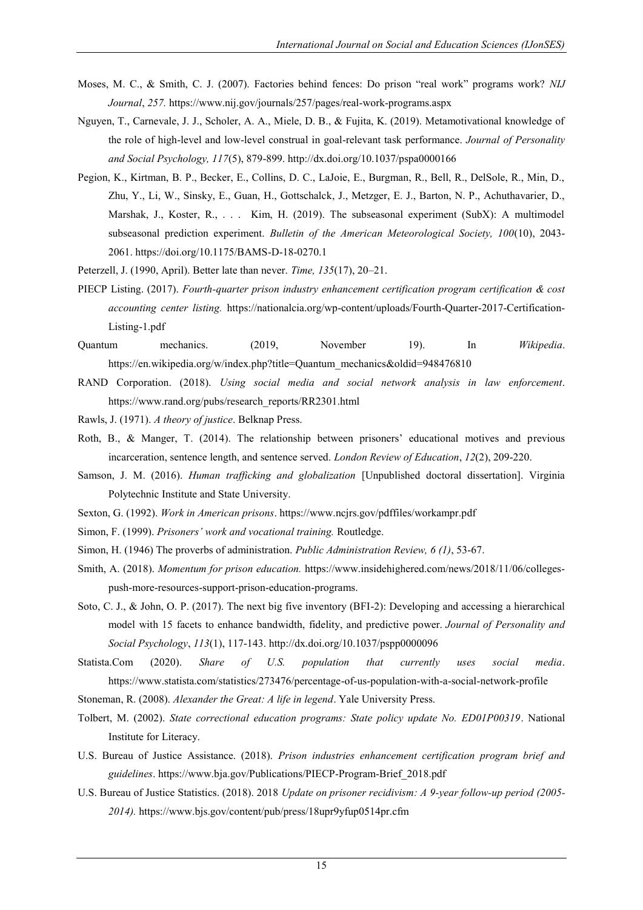- Moses, M. C., & Smith, C. J. (2007). Factories behind fences: Do prison "real work" programs work? *NIJ Journal*, *257.* https://www.nij.gov/journals/257/pages/real-work-programs.aspx
- Nguyen, T., Carnevale, J. J., Scholer, A. A., Miele, D. B., & Fujita, K. (2019). Metamotivational knowledge of the role of high-level and low-level construal in goal-relevant task performance. *Journal of Personality and Social Psychology, 117*(5), 879-899. http://dx.doi.org/10.1037/pspa0000166
- Pegion, K., Kirtman, B. P., Becker, E., Collins, D. C., LaJoie, E., Burgman, R., Bell, R., DelSole, R., Min, D., Zhu, Y., Li, W., Sinsky, E., Guan, H., Gottschalck, J., Metzger, E. J., Barton, N. P., Achuthavarier, D., Marshak, J., Koster, R., . . . Kim, H. (2019). The subseasonal experiment (SubX): A multimodel subseasonal prediction experiment. *Bulletin of the American Meteorological Society, 100*(10), 2043- 2061. https://doi.org/10.1175/BAMS-D-18-0270.1
- Peterzell, J. (1990, April). Better late than never. *Time, 135*(17), 20–21.
- PIECP Listing. (2017). *Fourth-quarter prison industry enhancement certification program certification & cost accounting center listing.* https://nationalcia.org/wp-content/uploads/Fourth-Quarter-2017-Certification-Listing-1.pdf
- Quantum mechanics. (2019, November 19). In *Wikipedia*. https://en.wikipedia.org/w/index.php?title=Quantum\_mechanics&oldid=948476810
- RAND Corporation. (2018). *Using social media and social network analysis in law enforcement*. https://www.rand.org/pubs/research\_reports/RR2301.html
- Rawls, J. (1971). *A theory of justice*. Belknap Press.
- Roth, B., & Manger, T. (2014). The relationship between prisoners' educational motives and previous incarceration, sentence length, and sentence served. *London Review of Education*, *12*(2), 209-220.
- Samson, J. M. (2016). *Human trafficking and globalization* [Unpublished doctoral dissertation]. Virginia Polytechnic Institute and State University.
- Sexton, G. (1992). *Work in American prisons*. https://www.ncjrs.gov/pdffiles/workampr.pdf
- Simon, F. (1999). *Prisoners' work and vocational training.* Routledge.
- Simon, H. (1946) The proverbs of administration. *Public Administration Review, 6 (1)*, 53-67.
- Smith, A. (2018). *Momentum for prison education.* https://www.insidehighered.com/news/2018/11/06/collegespush-more-resources-support-prison-education-programs.
- Soto, C. J., & John, O. P. (2017). The next big five inventory (BFI-2): Developing and accessing a hierarchical model with 15 facets to enhance bandwidth, fidelity, and predictive power. *Journal of Personality and Social Psychology*, *113*(1), 117-143. <http://dx.doi.org/10.1037/pspp0000096>
- Statista.Com (2020). *Share of U.S. population that currently uses social media*. https://www.statista.com/statistics/273476/percentage-of-us-population-with-a-social-network-profile
- Stoneman, R. (2008). *Alexander the Great: A life in legend*. Yale University Press.
- Tolbert, M. (2002). *State correctional education programs: State policy update No. ED01P00319*. National Institute for Literacy.
- U.S. Bureau of Justice Assistance. (2018). *Prison industries enhancement certification program brief and guidelines*. https://www.bja.gov/Publications/PIECP-Program-Brief\_2018.pdf
- U.S. Bureau of Justice Statistics. (2018). 2018 *Update on prisoner recidivism: A 9-year follow-up period (2005- 2014).* https://www.bjs.gov/content/pub/press/18upr9yfup0514pr.cfm